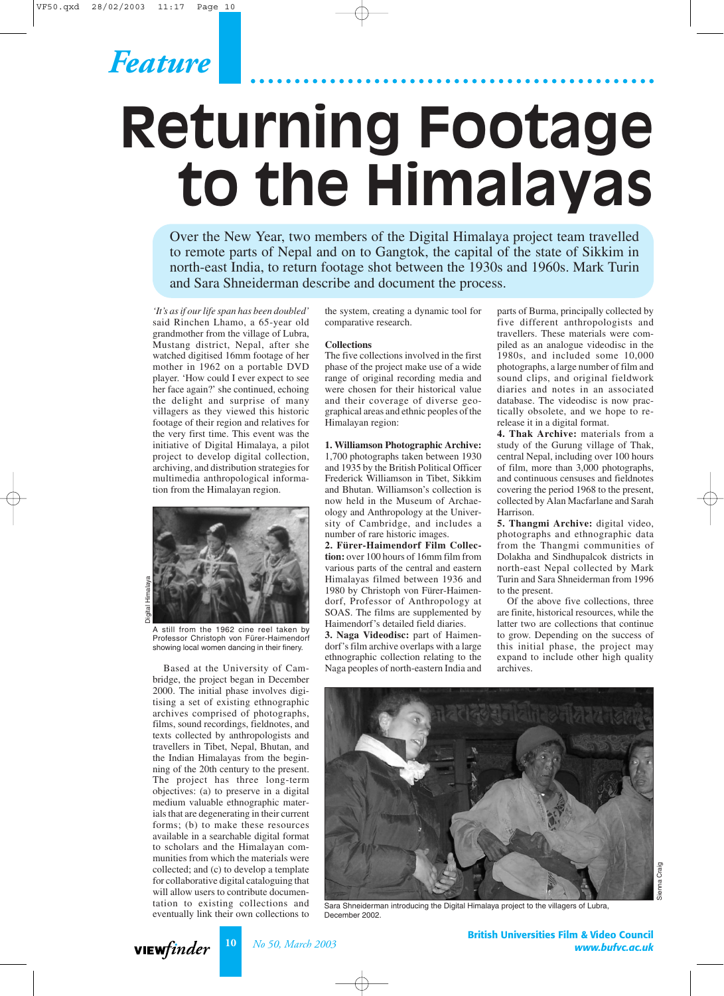

# **Returning Footage to the Himalayas**

Over the New Year, two members of the Digital Himalaya project team travelled to remote parts of Nepal and on to Gangtok, the capital of the state of Sikkim in north-east India, to return footage shot between the 1930s and 1960s. Mark Turin and Sara Shneiderman describe and document the process.

*'It's as if our life span has been doubled'* said Rinchen Lhamo, a 65-year old grandmother from the village of Lubra, Mustang district, Nepal, after she watched digitised 16mm footage of her mother in 1962 on a portable DVD player. 'How could I ever expect to see her face again?' she continued, echoing the delight and surprise of many villagers as they viewed this historic footage of their region and relatives for the very first time. This event was the initiative of Digital Himalaya, a pilot project to develop digital collection, archiving, and distribution strategies for multimedia anthropological information from the Himalayan region.



A still from the 1962 cine reel taken by Professor Christoph von Fürer-Haimendorf showing local women dancing in their finery.

Based at the University of Cambridge, the project began in December 2000. The initial phase involves digitising a set of existing ethnographic archives comprised of photographs, films, sound recordings, fieldnotes, and texts collected by anthropologists and travellers in Tibet, Nepal, Bhutan, and the Indian Himalayas from the beginning of the 20th century to the present. The project has three long-term objectives: (a) to preserve in a digital medium valuable ethnographic materials that are degenerating in their current forms; (b) to make these resources available in a searchable digital format to scholars and the Himalayan communities from which the materials were collected; and (c) to develop a template for collaborative digital cataloguing that will allow users to contribute documentation to existing collections and eventually link their own collections to

the system, creating a dynamic tool for comparative research.

#### **Collections**

The five collections involved in the first phase of the project make use of a wide range of original recording media and were chosen for their historical value and their coverage of diverse geographical areas and ethnic peoples of the Himalayan region:

**1. Williamson Photographic Archive:** 1,700 photographs taken between 1930 and 1935 by the British Political Officer Frederick Williamson in Tibet, Sikkim and Bhutan. Williamson's collection is now held in the Museum of Archaeology and Anthropology at the University of Cambridge, and includes a number of rare historic images.

**2. Fürer-Haimendorf Film Collection:** over 100 hours of 16mm film from various parts of the central and eastern Himalayas filmed between 1936 and 1980 by Christoph von Fürer-Haimendorf, Professor of Anthropology at SOAS. The films are supplemented by Haimendorf's detailed field diaries.

**3. Naga Videodisc:** part of Haimendorf's film archive overlaps with a large ethnographic collection relating to the Naga peoples of north-eastern India and

parts of Burma, principally collected by five different anthropologists and travellers. These materials were compiled as an analogue videodisc in the 1980s, and included some 10,000 photographs, a large number of film and sound clips, and original fieldwork diaries and notes in an associated database. The videodisc is now practically obsolete, and we hope to rerelease it in a digital format.

**4. Thak Archive:** materials from a study of the Gurung village of Thak, central Nepal, including over 100 hours of film, more than 3,000 photographs, and continuous censuses and fieldnotes covering the period 1968 to the present, collected by Alan Macfarlane and Sarah Harrison.

**5. Thangmi Archive:** digital video, photographs and ethnographic data from the Thangmi communities of Dolakha and Sindhupalcok districts in north-east Nepal collected by Mark Turin and Sara Shneiderman from 1996 to the present.

Of the above five collections, three are finite, historical resources, while the latter two are collections that continue to grow. Depending on the success of this initial phase, the project may expand to include other high quality archives.



Sara Shneiderman introducing the Digital Himalaya project to the villagers of Lubra, December 2002.



**10** *No 50, March 2003*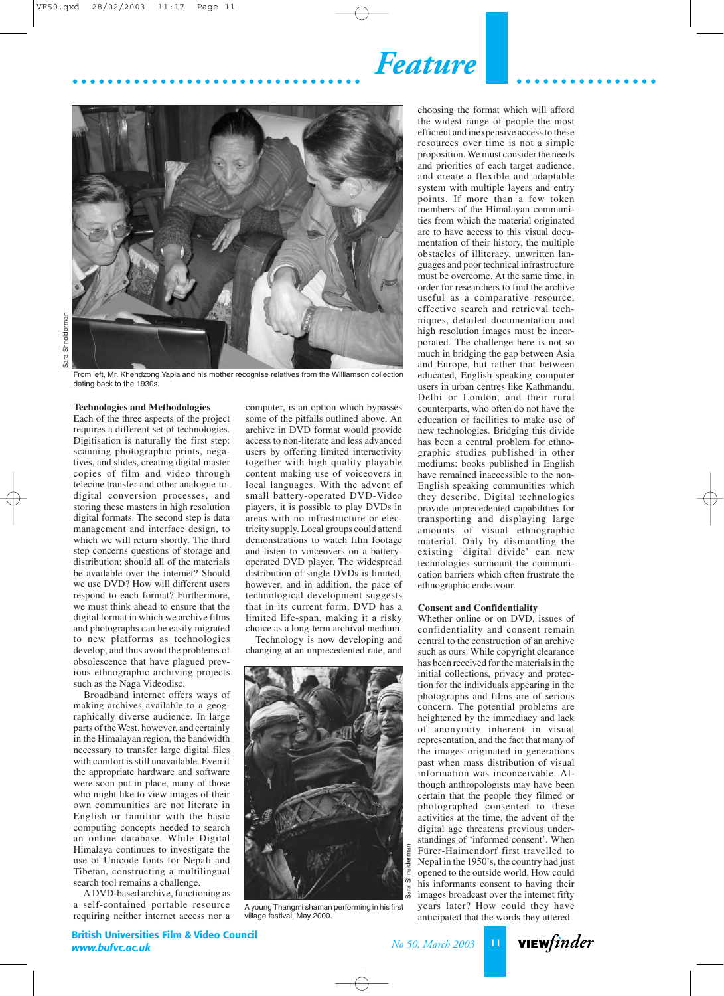*Feature*



From left, Mr. Khendzong Yapla and his mother recognise relatives from the Williamson collection dating back to the 1930s.

### **Technologies and Methodologies**

Each of the three aspects of the project requires a different set of technologies. Digitisation is naturally the first step: scanning photographic prints, negatives, and slides, creating digital master copies of film and video through telecine transfer and other analogue-todigital conversion processes, and storing these masters in high resolution digital formats. The second step is data management and interface design, to which we will return shortly. The third step concerns questions of storage and distribution: should all of the materials be available over the internet? Should we use DVD? How will different users respond to each format? Furthermore, we must think ahead to ensure that the digital format in which we archive films and photographs can be easily migrated to new platforms as technologies develop, and thus avoid the problems of obsolescence that have plagued previous ethnographic archiving projects such as the Naga Videodisc.

Broadband internet offers ways of making archives available to a geographically diverse audience. In large parts of the West, however, and certainly in the Himalayan region, the bandwidth necessary to transfer large digital files with comfort is still unavailable. Even if the appropriate hardware and software were soon put in place, many of those who might like to view images of their own communities are not literate in English or familiar with the basic computing concepts needed to search an online database. While Digital Himalaya continues to investigate the use of Unicode fonts for Nepali and Tibetan, constructing a multilingual search tool remains a challenge.

A DVD-based archive, functioning as a self-contained portable resource requiring neither internet access nor a computer, is an option which bypasses some of the pitfalls outlined above. An archive in DVD format would provide access to non-literate and less advanced users by offering limited interactivity together with high quality playable content making use of voiceovers in local languages. With the advent of small battery-operated DVD-Video players, it is possible to play DVDs in areas with no infrastructure or electricity supply. Local groups could attend demonstrations to watch film footage and listen to voiceovers on a batteryoperated DVD player. The widespread distribution of single DVDs is limited, however, and in addition, the pace of technological development suggests that in its current form, DVD has a limited life-span, making it a risky choice as a long-term archival medium.

Technology is now developing and changing at an unprecedented rate, and



A young Thangmi shaman performing in his first village festival, May 2000.

choosing the format which will afford the widest range of people the most efficient and inexpensive access to these resources over time is not a simple proposition. We must consider the needs and priorities of each target audience, and create a flexible and adaptable system with multiple layers and entry points. If more than a few token members of the Himalayan communities from which the material originated are to have access to this visual documentation of their history, the multiple obstacles of illiteracy, unwritten languages and poor technical infrastructure must be overcome. At the same time, in order for researchers to find the archive useful as a comparative resource, effective search and retrieval techniques, detailed documentation and high resolution images must be incorporated. The challenge here is not so much in bridging the gap between Asia and Europe, but rather that between educated, English-speaking computer users in urban centres like Kathmandu, Delhi or London, and their rural counterparts, who often do not have the education or facilities to make use of new technologies. Bridging this divide has been a central problem for ethnographic studies published in other mediums: books published in English have remained inaccessible to the non-English speaking communities which they describe. Digital technologies provide unprecedented capabilities for transporting and displaying large amounts of visual ethnographic material. Only by dismantling the existing 'digital divide' can new technologies surmount the communication barriers which often frustrate the ethnographic endeavour.

### **Consent and Confidentiality**

Whether online or on DVD, issues of confidentiality and consent remain central to the construction of an archive such as ours. While copyright clearance has been received for the materials in the initial collections, privacy and protection for the individuals appearing in the photographs and films are of serious concern. The potential problems are heightened by the immediacy and lack of anonymity inherent in visual representation, and the fact that many of the images originated in generations past when mass distribution of visual information was inconceivable. Although anthropologists may have been certain that the people they filmed or photographed consented to these activities at the time, the advent of the digital age threatens previous understandings of 'informed consent'. When Fürer-Haimendorf first travelled to Nepal in the 1950's, the country had just opened to the outside world. How could his informants consent to having their images broadcast over the internet fifty years later? How could they have anticipated that the words they uttered

viewfinder

**British Universities Film & Video Council** *www.bufvc.ac.uk*